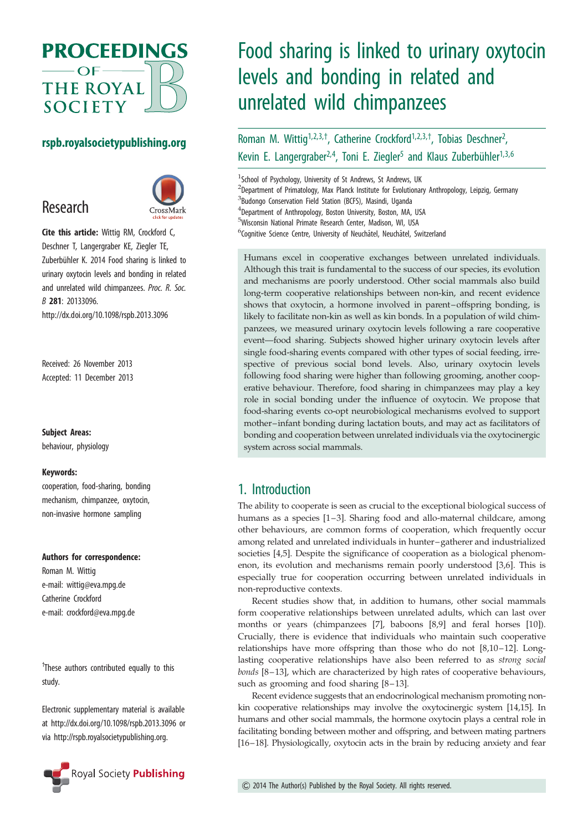

## rspb.royalsocietypublishing.org

## Research



Cite this article: Wittig RM, Crockford C, Deschner T, Langergraber KE, Ziegler TE, Zuberbühler K. 2014 Food sharing is linked to urinary oxytocin levels and bonding in related and unrelated wild chimpanzees. Proc. R. Soc. B 281: 20133096. http://dx.doi.org/10.1098/rspb.2013.3096

Received: 26 November 2013 Accepted: 11 December 2013

#### Subject Areas:

behaviour, physiology

#### Keywords:

cooperation, food-sharing, bonding mechanism, chimpanzee, oxytocin, non-invasive hormone sampling

#### Authors for correspondence:

Roman M. Wittig e-mail: [wittig@eva.mpg.de](mailto:wittig@eva.mpg.de) Catherine Crockford e-mail: [crockford@eva.mpg.de](mailto:crockford@eva.mpg.de)

<sup>†</sup>These authors contributed equally to this study.

Electronic supplementary material is available at<http://dx.doi.org/10.1098/rspb.2013.3096> or via<http://rspb.royalsocietypublishing.org>.



# Food sharing is linked to urinary oxytocin levels and bonding in related and unrelated wild chimpanzees

Roman M. Wittig<sup>1,2,3,†</sup>, Catherine Crockford<sup>1,2,3,†</sup>, Tobias Deschner<sup>2</sup>, .<br>, Kevin E. Langergraber<sup>2,4</sup>, Toni E. Ziegler<sup>5</sup> and Klaus Zuberbühler<sup>1,3,6</sup>

<sup>1</sup> School of Psychology, University of St Andrews, St Andrews, UK <sup>2</sup>Department of Primatology, Max Planck Institute for Evolutionary Anthropology, Leipzig, Germany <sup>3</sup>Budongo Conservation Field Station (BCFS), Masindi, Uganda 4 Department of Anthropology, Boston University, Boston, MA, USA 5 Wisconsin National Primate Research Center, Madison, WI, USA <sup>6</sup>Cognitive Science Centre, University of Neuchâtel, Neuchâtel, Switzerland

Humans excel in cooperative exchanges between unrelated individuals. Although this trait is fundamental to the success of our species, its evolution and mechanisms are poorly understood. Other social mammals also build long-term cooperative relationships between non-kin, and recent evidence shows that oxytocin, a hormone involved in parent–offspring bonding, is likely to facilitate non-kin as well as kin bonds. In a population of wild chimpanzees, we measured urinary oxytocin levels following a rare cooperative event—food sharing. Subjects showed higher urinary oxytocin levels after single food-sharing events compared with other types of social feeding, irrespective of previous social bond levels. Also, urinary oxytocin levels following food sharing were higher than following grooming, another cooperative behaviour. Therefore, food sharing in chimpanzees may play a key role in social bonding under the influence of oxytocin. We propose that food-sharing events co-opt neurobiological mechanisms evolved to support mother–infant bonding during lactation bouts, and may act as facilitators of bonding and cooperation between unrelated individuals via the oxytocinergic system across social mammals.

## 1. Introduction

The ability to cooperate is seen as crucial to the exceptional biological success of humans as a species [\[1](#page-7-0)–[3](#page-7-0)]. Sharing food and allo-maternal childcare, among other behaviours, are common forms of cooperation, which frequently occur among related and unrelated individuals in hunter –gatherer and industrialized societies [[4,5\]](#page-7-0). Despite the significance of cooperation as a biological phenomenon, its evolution and mechanisms remain poorly understood [\[3,6\]](#page-7-0). This is especially true for cooperation occurring between unrelated individuals in non-reproductive contexts.

Recent studies show that, in addition to humans, other social mammals form cooperative relationships between unrelated adults, which can last over months or years (chimpanzees [\[7\]](#page-7-0), baboons [\[8,9\]](#page-7-0) and feral horses [[10\]](#page-7-0)). Crucially, there is evidence that individuals who maintain such cooperative relationships have more offspring than those who do not  $[8,10-12]$  $[8,10-12]$  $[8,10-12]$  $[8,10-12]$ . Longlasting cooperative relationships have also been referred to as strong social bonds [[8](#page-7-0)–[13\]](#page-7-0), which are characterized by high rates of cooperative behaviours, such as grooming and food sharing [\[8](#page-7-0)–[13](#page-7-0)].

Recent evidence suggests that an endocrinological mechanism promoting nonkin cooperative relationships may involve the oxytocinergic system [\[14,15\]](#page-7-0). In humans and other social mammals, the hormone oxytocin plays a central role in facilitating bonding between mother and offspring, and between mating partners [[16](#page-7-0)–[18](#page-8-0)]. Physiologically, oxytocin acts in the brain by reducing anxiety and fear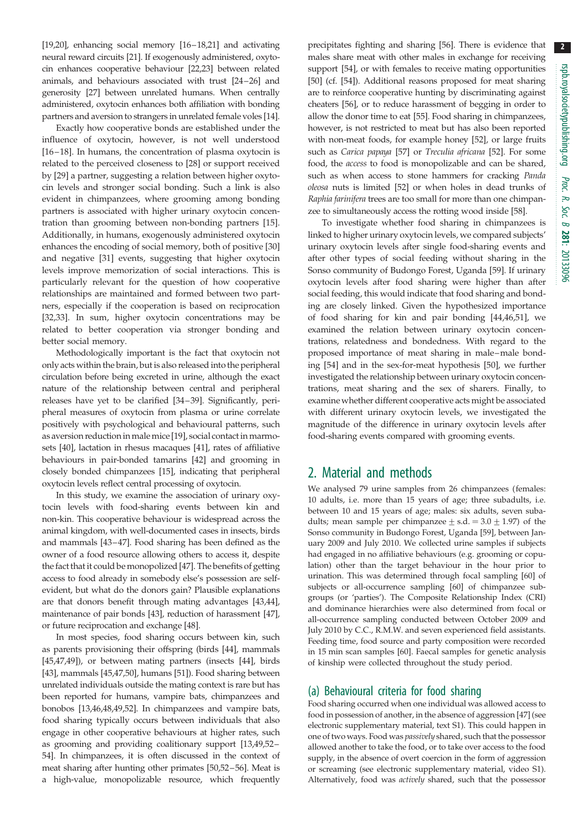[\[19,20\]](#page-8-0), enhancing social memory [[16](#page-7-0)–[18,21](#page-8-0)] and activating neural reward circuits [[21\]](#page-8-0). If exogenously administered, oxytocin enhances cooperative behaviour [\[22,23\]](#page-8-0) between related animals, and behaviours associated with trust [\[24](#page-8-0)–[26](#page-8-0)] and generosity [[27\]](#page-8-0) between unrelated humans. When centrally administered, oxytocin enhances both affiliation with bonding partners and aversion to strangers in unrelated female voles [[14](#page-7-0)].

Exactly how cooperative bonds are established under the influence of oxytocin, however, is not well understood [\[16](#page-7-0) –[18\]](#page-8-0). In humans, the concentration of plasma oxytocin is related to the perceived closeness to [\[28](#page-8-0)] or support received by [[29\]](#page-8-0) a partner, suggesting a relation between higher oxytocin levels and stronger social bonding. Such a link is also evident in chimpanzees, where grooming among bonding partners is associated with higher urinary oxytocin concentration than grooming between non-bonding partners [\[15](#page-7-0)]. Additionally, in humans, exogenously administered oxytocin enhances the encoding of social memory, both of positive [[30\]](#page-8-0) and negative [\[31](#page-8-0)] events, suggesting that higher oxytocin levels improve memorization of social interactions. This is particularly relevant for the question of how cooperative relationships are maintained and formed between two partners, especially if the cooperation is based on reciprocation [\[32](#page-8-0),[33\]](#page-8-0). In sum, higher oxytocin concentrations may be related to better cooperation via stronger bonding and better social memory.

Methodologically important is the fact that oxytocin not only acts within the brain, but is also released into the peripheral circulation before being excreted in urine, although the exact nature of the relationship between central and peripheral releases have yet to be clarified [\[34](#page-8-0)–[39\]](#page-8-0). Significantly, peripheral measures of oxytocin from plasma or urine correlate positively with psychological and behavioural patterns, such as aversion reduction in malemice [\[19](#page-8-0)], social contact in marmosets [[40\]](#page-8-0), lactation in rhesus macaques [[41\]](#page-8-0), rates of affiliative behaviours in pair-bonded tamarins [\[42\]](#page-8-0) and grooming in closely bonded chimpanzees [[15\]](#page-7-0), indicating that peripheral oxytocin levels reflect central processing of oxytocin.

In this study, we examine the association of urinary oxytocin levels with food-sharing events between kin and non-kin. This cooperative behaviour is widespread across the animal kingdom, with well-documented cases in insects, birds and mammals [\[43](#page-8-0)–[47](#page-8-0)]. Food sharing has been defined as the owner of a food resource allowing others to access it, despite the fact that it could be monopolized [\[47](#page-8-0)]. The benefits of getting access to food already in somebody else's possession are selfevident, but what do the donors gain? Plausible explanations are that donors benefit through mating advantages [[43](#page-8-0),[44](#page-8-0)], maintenance of pair bonds [[43](#page-8-0)], reduction of harassment [[47](#page-8-0)], or future reciprocation and exchange [\[48](#page-8-0)].

In most species, food sharing occurs between kin, such as parents provisioning their offspring (birds [[44\]](#page-8-0), mammals [\[45,47,49](#page-8-0)]), or between mating partners (insects [[44\]](#page-8-0), birds [\[43](#page-8-0)], mammals [[45,47,50](#page-8-0)], humans [\[51\]](#page-8-0)). Food sharing between unrelated individuals outside the mating context is rare but has been reported for humans, vampire bats, chimpanzees and bonobos [\[13](#page-7-0)[,46,48,49,52\]](#page-8-0). In chimpanzees and vampire bats, food sharing typically occurs between individuals that also engage in other cooperative behaviours at higher rates, such as grooming and providing coalitionary support [\[13](#page-7-0)[,49,52](#page-8-0)– [54](#page-8-0)]. In chimpanzees, it is often discussed in the context of meat sharing after hunting other primates [\[50,52](#page-8-0)–[56](#page-8-0)]. Meat is a high-value, monopolizable resource, which frequently precipitates fighting and sharing [\[56](#page-8-0)]. There is evidence that males share meat with other males in exchange for receiving support [[54](#page-8-0)], or with females to receive mating opportunities [[50](#page-8-0)] (cf. [\[54\]](#page-8-0)). Additional reasons proposed for meat sharing are to reinforce cooperative hunting by discriminating against cheaters [\[56\]](#page-8-0), or to reduce harassment of begging in order to allow the donor time to eat [\[55](#page-8-0)]. Food sharing in chimpanzees, however, is not restricted to meat but has also been reported with non-meat foods, for example honey [[52](#page-8-0)], or large fruits such as Carica papaya [\[57](#page-8-0)] or Treculia africana [[52\]](#page-8-0). For some food, the access to food is monopolizable and can be shared, such as when access to stone hammers for cracking Panda oleosa nuts is limited [\[52](#page-8-0)] or when holes in dead trunks of Raphia farinifera trees are too small for more than one chimpanzee to simultaneously access the rotting wood inside [\[58](#page-8-0)].

To investigate whether food sharing in chimpanzees is linked to higher urinary oxytocin levels, we compared subjects' urinary oxytocin levels after single food-sharing events and after other types of social feeding without sharing in the Sonso community of Budongo Forest, Uganda [[59](#page-8-0)]. If urinary oxytocin levels after food sharing were higher than after social feeding, this would indicate that food sharing and bonding are closely linked. Given the hypothesized importance of food sharing for kin and pair bonding [[44,46,51\]](#page-8-0), we examined the relation between urinary oxytocin concentrations, relatedness and bondedness. With regard to the proposed importance of meat sharing in male–male bonding [[54\]](#page-8-0) and in the sex-for-meat hypothesis [[50\]](#page-8-0), we further investigated the relationship between urinary oxytocin concentrations, meat sharing and the sex of sharers. Finally, to examine whether different cooperative acts might be associated with different urinary oxytocin levels, we investigated the magnitude of the difference in urinary oxytocin levels after food-sharing events compared with grooming events.

## 2. Material and methods

We analysed 79 urine samples from 26 chimpanzees (females: 10 adults, i.e. more than 15 years of age; three subadults, i.e. between 10 and 15 years of age; males: six adults, seven subadults; mean sample per chimpanzee  $\pm$  s.d. = 3.0  $\pm$  1.97) of the Sonso community in Budongo Forest, Uganda [[59](#page-8-0)], between January 2009 and July 2010. We collected urine samples if subjects had engaged in no affiliative behaviours (e.g. grooming or copulation) other than the target behaviour in the hour prior to urination. This was determined through focal sampling [[60](#page-8-0)] of subjects or all-occurrence sampling [\[60\]](#page-8-0) of chimpanzee subgroups (or 'parties'). The Composite Relationship Index (CRI) and dominance hierarchies were also determined from focal or all-occurrence sampling conducted between October 2009 and July 2010 by C.C., R.M.W. and seven experienced field assistants. Feeding time, food source and party composition were recorded in 15 min scan samples [\[60\]](#page-8-0). Faecal samples for genetic analysis of kinship were collected throughout the study period.

### (a) Behavioural criteria for food sharing

Food sharing occurred when one individual was allowed access to food in possession of another, in the absence of aggression [[47](#page-8-0)] (see electronic supplementary material, text S1). This could happen in one of two ways. Food was passively shared, such that the possessor allowed another to take the food, or to take over access to the food supply, in the absence of overt coercion in the form of aggression or screaming (see electronic supplementary material, video S1). Alternatively, food was actively shared, such that the possessor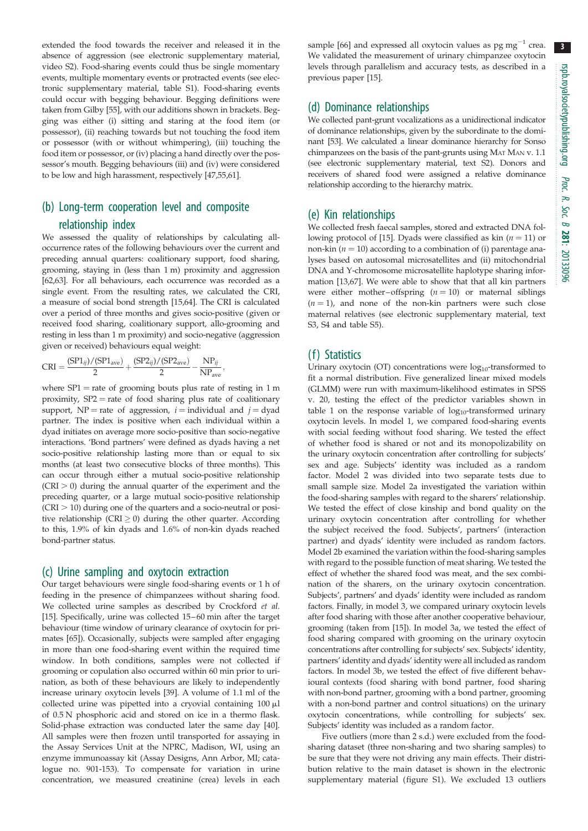extended the food towards the receiver and released it in the absence of aggression (see electronic supplementary material, video S2). Food-sharing events could thus be single momentary events, multiple momentary events or protracted events (see electronic supplementary material, table S1). Food-sharing events could occur with begging behaviour. Begging definitions were taken from Gilby [\[55\]](#page-8-0), with our additions shown in brackets. Begging was either (i) sitting and staring at the food item (or possessor), (ii) reaching towards but not touching the food item or possessor (with or without whimpering), (iii) touching the food item or possessor, or (iv) placing a hand directly over the possessor's mouth. Begging behaviours (iii) and (iv) were considered to be low and high harassment, respectively [\[47,55,61](#page-8-0)].

## (b) Long-term cooperation level and composite relationship index

We assessed the quality of relationships by calculating alloccurrence rates of the following behaviours over the current and preceding annual quarters: coalitionary support, food sharing, grooming, staying in (less than 1 m) proximity and aggression [\[62,63](#page-8-0)]. For all behaviours, each occurrence was recorded as a single event. From the resulting rates, we calculated the CRI, a measure of social bond strength [\[15,](#page-7-0)[64](#page-9-0)]. The CRI is calculated over a period of three months and gives socio-positive (given or received food sharing, coalitionary support, allo-grooming and resting in less than 1 m proximity) and socio-negative (aggression given or received) behaviours equal weight:

;

$$
CRI = \frac{(SP1_{ij})/(SP1_{ave})}{2} + \frac{(SP2_{ij})/(SP2_{ave})}{2} - \frac{NP_{ij}}{NP_{ave}}
$$

where  $SP1 =$  rate of grooming bouts plus rate of resting in 1 m proximity,  $SP2 =$  rate of food sharing plus rate of coalitionary support, NP = rate of aggression,  $i =$  individual and  $j =$  dyad partner. The index is positive when each individual within a dyad initiates on average more socio-positive than socio-negative interactions. 'Bond partners' were defined as dyads having a net socio-positive relationship lasting more than or equal to six months (at least two consecutive blocks of three months). This can occur through either a mutual socio-positive relationship  $(CRI > 0)$  during the annual quarter of the experiment and the preceding quarter, or a large mutual socio-positive relationship  $(CRI > 10)$  during one of the quarters and a socio-neutral or positive relationship (CRI  $\geq$  0) during the other quarter. According to this, 1.9% of kin dyads and 1.6% of non-kin dyads reached bond-partner status.

#### (c) Urine sampling and oxytocin extraction

Our target behaviours were single food-sharing events or 1 h of feeding in the presence of chimpanzees without sharing food. We collected urine samples as described by Crockford et al. [\[15\]](#page-7-0). Specifically, urine was collected 15 – 60 min after the target behaviour (time window of urinary clearance of oxytocin for primates [\[65\]](#page-9-0)). Occasionally, subjects were sampled after engaging in more than one food-sharing event within the required time window. In both conditions, samples were not collected if grooming or copulation also occurred within 60 min prior to urination, as both of these behaviours are likely to independently increase urinary oxytocin levels [\[39\]](#page-8-0). A volume of 1.1 ml of the collected urine was pipetted into a cryovial containing  $100 \mu$ l of 0.5 N phosphoric acid and stored on ice in a thermo flask. Solid-phase extraction was conducted later the same day [\[40\]](#page-8-0). All samples were then frozen until transported for assaying in the Assay Services Unit at the NPRC, Madison, WI, using an enzyme immunoassay kit (Assay Designs, Ann Arbor, MI; catalogue no. 901-153). To compensate for variation in urine concentration, we measured creatinine (crea) levels in each

sample [\[66\]](#page-9-0) and expressed all oxytocin values as  $pg mg^{-1}$  crea. We validated the measurement of urinary chimpanzee oxytocin levels through parallelism and accuracy tests, as described in a previous paper [\[15\]](#page-7-0).

## (d) Dominance relationships

We collected pant-grunt vocalizations as a unidirectional indicator of dominance relationships, given by the subordinate to the dominant [\[53\]](#page-8-0). We calculated a linear dominance hierarchy for Sonso chimpanzees on the basis of the pant-grunts using MAT MAN v. 1.1 (see electronic supplementary material, text S2). Donors and receivers of shared food were assigned a relative dominance relationship according to the hierarchy matrix.

#### (e) Kin relationships

We collected fresh faecal samples, stored and extracted DNA fol-lowing protocol of [[15](#page-7-0)]. Dyads were classified as kin  $(n = 11)$  or non-kin ( $n = 10$ ) according to a combination of (i) parentage analyses based on autosomal microsatellites and (ii) mitochondrial DNA and Y-chromosome microsatellite haplotype sharing information [[13](#page-7-0)[,67\]](#page-9-0). We were able to show that that all kin partners were either mother-offspring  $(n = 10)$  or maternal siblings  $(n = 1)$ , and none of the non-kin partners were such close maternal relatives (see electronic supplementary material, text S3, S4 and table S5).

### (f) Statistics

Urinary oxytocin (OT) concentrations were  $log_{10}$ -transformed to fit a normal distribution. Five generalized linear mixed models (GLMM) were run with maximum-likelihood estimates in SPSS v. 20, testing the effect of the predictor variables shown in [table 1](#page-3-0) on the response variable of  $log_{10}$ -transformed urinary oxytocin levels. In model 1, we compared food-sharing events with social feeding without food sharing. We tested the effect of whether food is shared or not and its monopolizability on the urinary oxytocin concentration after controlling for subjects' sex and age. Subjects' identity was included as a random factor. Model 2 was divided into two separate tests due to small sample size. Model 2a investigated the variation within the food-sharing samples with regard to the sharers' relationship. We tested the effect of close kinship and bond quality on the urinary oxytocin concentration after controlling for whether the subject received the food. Subjects', partners' (interaction partner) and dyads' identity were included as random factors. Model 2b examined the variation within the food-sharing samples with regard to the possible function of meat sharing. We tested the effect of whether the shared food was meat, and the sex combination of the sharers, on the urinary oxytocin concentration. Subjects', partners' and dyads' identity were included as random factors. Finally, in model 3, we compared urinary oxytocin levels after food sharing with those after another cooperative behaviour, grooming (taken from [\[15\]](#page-7-0)). In model 3a, we tested the effect of food sharing compared with grooming on the urinary oxytocin concentrations after controlling for subjects' sex. Subjects' identity, partners' identity and dyads' identity were all included as random factors. In model 3b, we tested the effect of five different behavioural contexts (food sharing with bond partner, food sharing with non-bond partner, grooming with a bond partner, grooming with a non-bond partner and control situations) on the urinary oxytocin concentrations, while controlling for subjects' sex. Subjects' identity was included as a random factor.

Five outliers (more than 2 s.d.) were excluded from the foodsharing dataset (three non-sharing and two sharing samples) to be sure that they were not driving any main effects. Their distribution relative to the main dataset is shown in the electronic supplementary material (figure S1). We excluded 13 outliers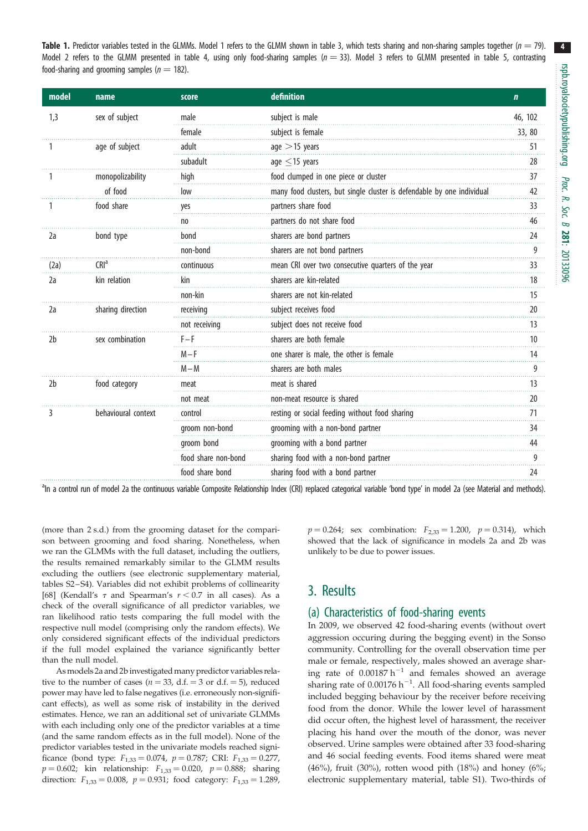<span id="page-3-0"></span>**Table 1.** Predictor variables tested in the GLMMs. Model 1 refers to the GLMM shown in [table 3,](#page-5-0) which tests sharing and non-sharing samples together ( $n = 79$ ). Model 2 refers to the GLMM presented in [table 4,](#page-6-0) using only food-sharing samples ( $n = 33$ ). Model 3 refers to GLMM presented in [table 5](#page-6-0), contrasting food-sharing and grooming samples ( $n = 182$ ).

| model          | name                | score               | definition                                                             | $\mathbf{n}$    |
|----------------|---------------------|---------------------|------------------------------------------------------------------------|-----------------|
| 1,3            | sex of subject      | male                | subject is male                                                        | 46, 102         |
|                |                     | female              | subject is female                                                      | 33, 80          |
|                | age of subject      | adult               | age $>$ 15 years                                                       | 51<br>in in i   |
|                |                     | subadult            | age $\leq$ 15 years                                                    | 28              |
|                | monopolizability    | high                | food clumped in one piece or cluster                                   | 37              |
|                | of food             | low                 | many food clusters, but single cluster is defendable by one individual | 42              |
|                | food share          | yes                 | partners share food                                                    | 33              |
| 2a             |                     | no                  | partners do not share food                                             | 46              |
|                | bond type           | bond                | sharers are bond partners                                              | 24              |
|                |                     | non-bond            | sharers are not bond partners                                          | 9               |
| (2a)           | CRI <sup>a</sup>    | continuous          | mean CRI over two consecutive quarters of the year                     | 33              |
| 2a             | kin relation        | kin                 | sharers are kin-related                                                | 18              |
|                |                     | non-kin             | sharers are not kin-related                                            | 15              |
| 2a             | sharing direction   | receiving           | subject receives food                                                  | 20              |
|                |                     | not receiving       | subject does not receive food                                          | 13              |
| 2 <sub>b</sub> | sex combination     | $F - F$             | sharers are both female                                                | 10 <sup>°</sup> |
|                |                     | $M-F$               | one sharer is male, the other is female                                | 14              |
|                |                     | $M-M$               | sharers are both males                                                 | 9               |
| 2 <sub>b</sub> | food category       | meat                | meat is shared                                                         | 13              |
|                |                     | not meat            | non-meat resource is shared                                            | 20              |
| 3              | behavioural context | control             | resting or social feeding without food sharing                         | 71              |
|                |                     | groom non-bond      | grooming with a non-bond partner                                       | 34              |
|                |                     | groom bond          | grooming with a bond partner                                           | 44              |
|                |                     | food share non-bond | sharing food with a non-bond partner                                   | 9               |
|                |                     | food share bond     | sharing food with a bond partner                                       | 24              |

<sup>a</sup>ln a control run of model 2a the continuous variable Composite Relationship Index (CRI) replaced categorical variable 'bond type' in model 2a (see Material and methods).

(more than 2 s.d.) from the grooming dataset for the comparison between grooming and food sharing. Nonetheless, when we ran the GLMMs with the full dataset, including the outliers, the results remained remarkably similar to the GLMM results excluding the outliers (see electronic supplementary material, tables S2 –S4). Variables did not exhibit problems of collinearity [\[68\]](#page-9-0) (Kendall's  $\tau$  and Spearman's  $r < 0.7$  in all cases). As a check of the overall significance of all predictor variables, we ran likelihood ratio tests comparing the full model with the respective null model (comprising only the random effects). We only considered significant effects of the individual predictors if the full model explained the variance significantly better than the null model.

Asmodels 2a and 2b investigated many predictor variables relative to the number of cases ( $n = 33$ , d.f. = 3 or d.f. = 5), reduced power may have led to false negatives (i.e. erroneously non-significant effects), as well as some risk of instability in the derived estimates. Hence, we ran an additional set of univariate GLMMs with each including only one of the predictor variables at a time (and the same random effects as in the full model). None of the predictor variables tested in the univariate models reached significance (bond type:  $F_{1,33} = 0.074$ ,  $p = 0.787$ ; CRI:  $F_{1,33} = 0.277$ ,  $p = 0.602$ ; kin relationship:  $F_{1,33} = 0.020$ ,  $p = 0.888$ ; sharing direction:  $F_{1,33} = 0.008$ ,  $p = 0.931$ ; food category:  $F_{1,33} = 1.289$ ,

 $p = 0.264$ ; sex combination:  $F_{2,33} = 1.200$ ,  $p = 0.314$ ), which showed that the lack of significance in models 2a and 2b was unlikely to be due to power issues.

## 3. Results

### (a) Characteristics of food-sharing events

In 2009, we observed 42 food-sharing events (without overt aggression occuring during the begging event) in the Sonso community. Controlling for the overall observation time per male or female, respectively, males showed an average sharing rate of  $0.00187 h^{-1}$  and females showed an average sharing rate of  $0.00176 h^{-1}$ . All food-sharing events sampled included begging behaviour by the receiver before receiving food from the donor. While the lower level of harassment did occur often, the highest level of harassment, the receiver placing his hand over the mouth of the donor, was never observed. Urine samples were obtained after 33 food-sharing and 46 social feeding events. Food items shared were meat (46%), fruit (30%), rotten wood pith (18%) and honey (6%; electronic supplementary material, table S1). Two-thirds of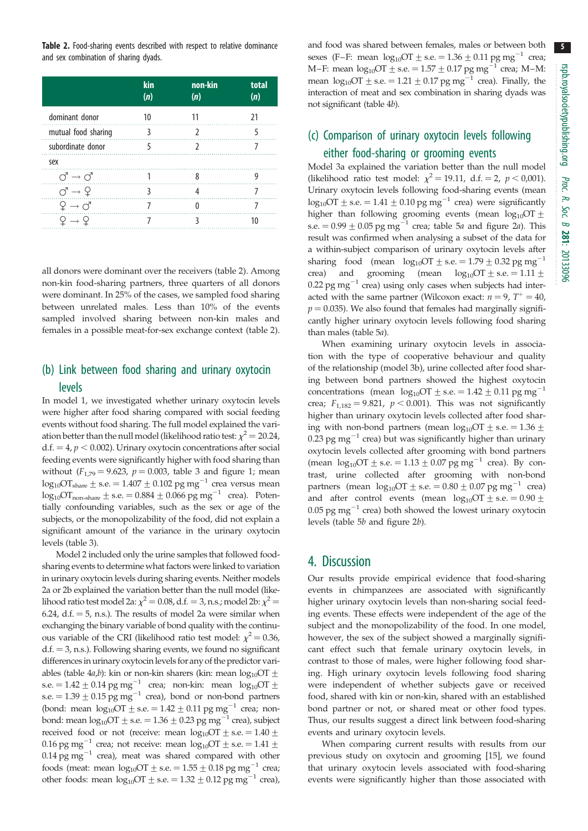Table 2. Food-sharing events described with respect to relative dominance and sex combination of sharing dyads.

|                                                 | kin<br>(n) | non-kin<br>(n) | total<br>(n) |
|-------------------------------------------------|------------|----------------|--------------|
| dominant donor                                  | 10         |                |              |
| mutual food sharing                             |            |                |              |
| subordinate donor                               |            |                |              |
| sex                                             |            |                |              |
| $\circlearrowleft \rightarrow \circlearrowleft$ |            |                |              |
| $\circlearrowleft \to \varphi$                  |            |                |              |
|                                                 |            |                |              |
|                                                 |            |                |              |

all donors were dominant over the receivers (table 2). Among non-kin food-sharing partners, three quarters of all donors were dominant. In 25% of the cases, we sampled food sharing between unrelated males. Less than 10% of the events sampled involved sharing between non-kin males and females in a possible meat-for-sex exchange context (table 2).

## (b) Link between food sharing and urinary oxytocin levels

In model 1, we investigated whether urinary oxytocin levels were higher after food sharing compared with social feeding events without food sharing. The full model explained the variation better than the null model (likelihood ratio test:  $\chi^2 = 20.24$ ,  $d.f. = 4, p < 0.002$ ). Urinary oxytocin concentrations after social feeding events were significantly higher with food sharing than without  $(F_{1,79} = 9.623, p = 0.003,$  [table 3](#page-5-0) and [figure 1](#page-5-0); mean  $log_{10}OT_{share}$  ± s.e. = 1.407  $\pm$  0.102 pg mg<sup>-1</sup> crea versus mean  $\log_{10}$ OT<sub>non-share</sub>  $\pm$  s.e.  $= 0.884 + 0.066$  pg mg<sup>-1</sup> crea). Potentially confounding variables, such as the sex or age of the subjects, or the monopolizability of the food, did not explain a significant amount of the variance in the urinary oxytocin levels [\(table 3\)](#page-5-0).

Model 2 included only the urine samples that followed foodsharing events to determine what factors were linked to variation in urinary oxytocin levels during sharing events. Neither models 2a or 2b explained the variation better than the null model (likelihood ratio test model 2a:  $\chi^2 = 0.08$ , d.f. = 3, n.s.; model 2b:  $\chi^2 =$ 6.24, d.f.  $= 5$ , n.s.). The results of model 2a were similar when exchanging the binary variable of bond quality with the continuous variable of the CRI (likelihood ratio test model:  $\chi^2 = 0.36$ ,  $d.f. = 3$ , n.s.). Following sharing events, we found no significant differences in urinary oxytocin levels for any of the predictor vari-ables [\(table 4](#page-6-0)*a*,*b*): kin or non-kin sharers (kin: mean  $log_{10}OT \pm$ s.e.  $= 1.42 \pm 0.14$  pg mg<sup>-1</sup> crea; non-kin: mean log<sub>10</sub>OT  $\pm$ s.e.  $= 1.39 \pm 0.15$  pg mg<sup>-1</sup> crea), bond or non-bond partners (bond: mean  $log_{10}OT \pm s.e. = 1.42 \pm 0.11$  pg mg<sup>-1</sup> crea; nonbond: mean  $\log_{10}$ OT  $\pm$  s.e.  $= 1.36\pm0.23$   $\text{pg}\:\text{mg}^{-1}$  crea), subject received food or not (receive: mean  $log_{10}OT \pm s.e. = 1.40 \pm$ 0.16 pg mg<sup>-1</sup> crea; not receive: mean  $log_{10}OT \pm$  s.e. = 1.41  $\pm$  $0.14 \text{ pg mg}^{-1}$  crea), meat was shared compared with other foods (meat: mean  $log_{10}OT$  + s.e. = 1.55  $\pm$  0.18 pg mg<sup>-1</sup> crea; other foods: mean  $\log_{10}OT \pm$  s.e. = 1.32  $\pm$  0.12 pg mg<sup>-1</sup> crea),

and food was shared between females, males or between both sexes (F–F: mean  $log_{10}OT \pm s.e. = 1.36 \pm 0.11$  pg mg<sup>-1</sup> crea; M–F: mean  $log_{10}OT$   $\pm$  s.e.  $= 1.57 \pm 0.17$  pg mg<sup>-1</sup> crea; M–M: mean  $log_{10}OT \pm$  s.e. = 1.21  $\pm$  0.17 pg mg<sup>-1</sup> crea). Finally, the interaction of meat and sex combination in sharing dyads was not significant [\(table 4](#page-6-0)b).

## (c) Comparison of urinary oxytocin levels following either food-sharing or grooming events

Model 3a explained the variation better than the null model (likelihood ratio test model:  $\chi^2 = 19.11$ , d.f. = 2, p < 0,001). Urinary oxytocin levels following food-sharing events (mean  $log_{10}OT$  + s.e. = 1.41  $\pm$  0.10 pg mg<sup>-1</sup> crea) were significantly higher than following grooming events (mean  $log_{10}OT+$ s.e. =  $0.99 \pm 0.05$  pg mg<sup>-1</sup> crea; [table 5](#page-6-0)a and [figure 2](#page-5-0)a). This result was confirmed when analysing a subset of the data for a within-subject comparison of urinary oxytocin levels after sharing food (mean  $log_{10}OT \pm s.e. = 1.79 \pm 0.32$  pg mg<sup>-1</sup> crea) and grooming (mean  $log_{10}OT \pm s.e. = 1.11 \pm$ 0.22 pg mg<sup>-1</sup> crea) using only cases when subjects had interacted with the same partner (Wilcoxon exact:  $n = 9$ ,  $T^+ = 40$ ,  $p = 0.035$ ). We also found that females had marginally significantly higher urinary oxytocin levels following food sharing than males [\(table 5](#page-6-0)a).

When examining urinary oxytocin levels in association with the type of cooperative behaviour and quality of the relationship (model 3b), urine collected after food sharing between bond partners showed the highest oxytocin concentrations (mean  $log_{10}OT \pm s.e. = 1.42 \pm 0.11$  pg mg<sup>-1</sup> crea;  $F_{1,182} = 9.821$ ,  $p < 0.001$ ). This was not significantly higher than urinary oxytocin levels collected after food sharing with non-bond partners (mean  $log_{10}OT+$  s.e. = 1.36 + 0.23 pg mg<sup> $-1$ </sup> crea) but was significantly higher than urinary oxytocin levels collected after grooming with bond partners (mean  $\log_{10}$ OT + s.e. = 1.13 + 0.07 pg mg<sup>-1</sup> crea). By contrast, urine collected after grooming with non-bond partners (mean  $log_{10}OT \pm s.e. = 0.80 \pm 0.07$  pg mg<sup>-1</sup> crea) and after control events (mean  $log_{10}OT+$  s.e.  $= 0.90 +$ 0.05 pg mg $^{-1}$  crea) both showed the lowest urinary oxytocin levels ([table 5](#page-6-0)b and [figure 2](#page-5-0)b).

## 4. Discussion

Our results provide empirical evidence that food-sharing events in chimpanzees are associated with significantly higher urinary oxytocin levels than non-sharing social feeding events. These effects were independent of the age of the subject and the monopolizability of the food. In one model, however, the sex of the subject showed a marginally significant effect such that female urinary oxytocin levels, in contrast to those of males, were higher following food sharing. High urinary oxytocin levels following food sharing were independent of whether subjects gave or received food, shared with kin or non-kin, shared with an established bond partner or not, or shared meat or other food types. Thus, our results suggest a direct link between food-sharing events and urinary oxytocin levels.

When comparing current results with results from our previous study on oxytocin and grooming [[15\]](#page-7-0), we found that urinary oxytocin levels associated with food-sharing events were significantly higher than those associated with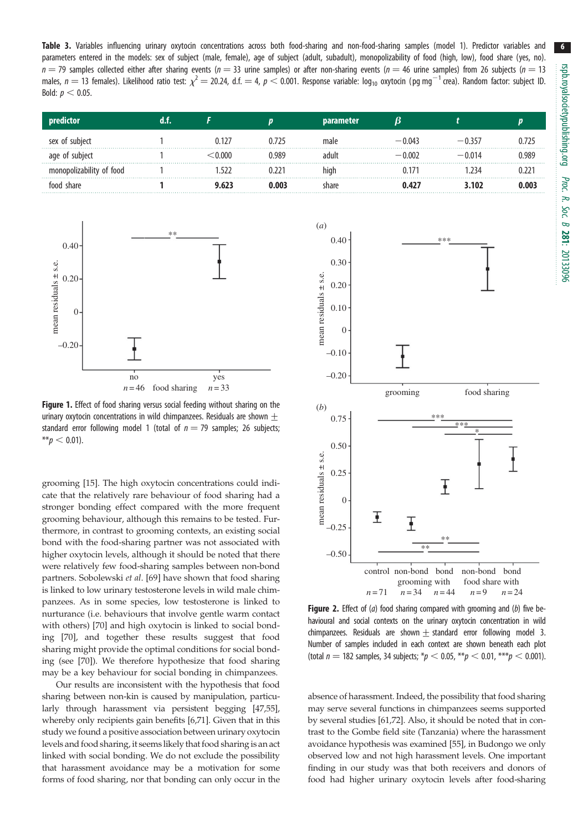<span id="page-5-0"></span>Table 3. Variables influencing urinary oxytocin concentrations across both food-sharing and non-food-sharing samples (model 1). Predictor variables and parameters entered in the models: sex of subject (male, female), age of subject (adult, subadult), monopolizability of food (high, low), food share (yes, no).  $n = 79$  samples collected either after sharing events ( $n = 33$  urine samples) or after non-sharing events ( $n = 46$  urine samples) from 26 subjects ( $n = 13$ males,  $n=$  13 females). Likelihood ratio test:  $\chi^2=$  20.24, d.f.  $=$  4,  $\rho$   $<$  0.001. Response variable: log<sub>10</sub> oxytocin (pg mg $^{-1}$ crea). Random factor: subject ID. Bold:  $p < 0.05$ .

|                        |       |       | <b>parameter</b> |          |          |       |
|------------------------|-------|-------|------------------|----------|----------|-------|
| sex of subject         | 0.127 | 0.725 | male             | $-0.043$ | $-0.357$ |       |
| age of subject         | -000  | 0.989 | adult            | $-0.002$ | $-0.014$ | 0.989 |
| nopolizability of food |       |       | high             |          | 234      |       |
| food share             |       | 0.003 | share            | 0.427    | 3.102    | 0.003 |



Figure 1. Effect of food sharing versus social feeding without sharing on the urinary oxytocin concentrations in wild chimpanzees. Residuals are shown  $+$ standard error following model 1 (total of  $n = 79$  samples; 26 subjects;  $*$ <sub>p</sub>  $<$  0.01).

grooming [[15\]](#page-7-0). The high oxytocin concentrations could indicate that the relatively rare behaviour of food sharing had a stronger bonding effect compared with the more frequent grooming behaviour, although this remains to be tested. Furthermore, in contrast to grooming contexts, an existing social bond with the food-sharing partner was not associated with higher oxytocin levels, although it should be noted that there were relatively few food-sharing samples between non-bond partners. Sobolewski et al. [[69\]](#page-9-0) have shown that food sharing is linked to low urinary testosterone levels in wild male chimpanzees. As in some species, low testosterone is linked to nurturance (i.e. behaviours that involve gentle warm contact with others) [[70\]](#page-9-0) and high oxytocin is linked to social bonding [[70\]](#page-9-0), and together these results suggest that food sharing might provide the optimal conditions for social bonding (see [[70\]](#page-9-0)). We therefore hypothesize that food sharing may be a key behaviour for social bonding in chimpanzees.

Our results are inconsistent with the hypothesis that food sharing between non-kin is caused by manipulation, particularly through harassment via persistent begging [[47](#page-8-0),[55](#page-8-0)], whereby only recipients gain benefits [[6](#page-7-0)[,71](#page-9-0)]. Given that in this study we found a positive association between urinary oxytocin levels and food sharing, it seems likely that food sharing is an act linked with social bonding. We do not exclude the possibility that harassment avoidance may be a motivation for some forms of food sharing, nor that bonding can only occur in the



**Figure 2.** Effect of  $(a)$  food sharing compared with grooming and  $(b)$  five behavioural and social contexts on the urinary oxytocin concentration in wild chimpanzees. Residuals are shown  $\pm$  standard error following model 3. Number of samples included in each context are shown beneath each plot (total  $n = 182$  samples, 34 subjects;  $p \lt 0.05$ ,  $p \lt 0.01$ ,  $p \lt p \lt 0.001$ ).

absence of harassment. Indeed, the possibility that food sharing may serve several functions in chimpanzees seems supported by several studies [[61,](#page-8-0)[72](#page-9-0)]. Also, it should be noted that in contrast to the Gombe field site (Tanzania) where the harassment avoidance hypothesis was examined [\[55\]](#page-8-0), in Budongo we only observed low and not high harassment levels. One important finding in our study was that both receivers and donors of food had higher urinary oxytocin levels after food-sharing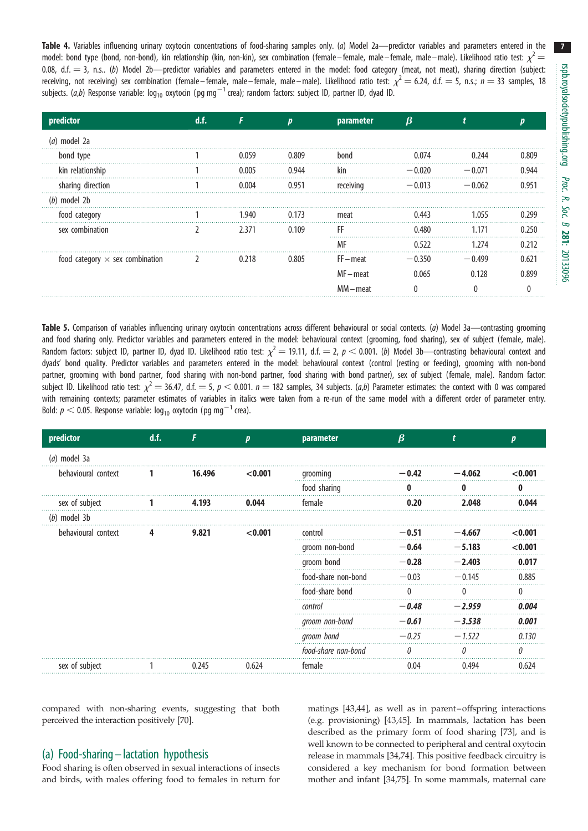<span id="page-6-0"></span>Table 4. Variables influencing urinary oxytocin concentrations of food-sharing samples only. (a) Model 2a—predictor variables and parameters entered in the model: bond type (bond, non-bond), kin relationship (kin, non-kin), sex combination (female–female, male–female, male–male). Likelihood ratio test:  $\chi^2$ 0.08, d.f.  $=$  3, n.s.. (b) Model 2b—predictor variables and parameters entered in the model: food category (meat, not meat), sharing direction (subject: receiving, not receiving) sex combination (female–female, male–female, male–male). Likelihood ratio test:  $\chi^2 = 6.24$ , d.f. = 5, n.s.; n = 33 samples, 18 subjects. (*a,b*) Response variable: log<sub>10</sub> oxytocin (pg mg $^{-1}$ crea); random factors: subject ID, partner ID, dyad ID.

| predictor                              | d.f. |              |       | parameter   |          |          |       |
|----------------------------------------|------|--------------|-------|-------------|----------|----------|-------|
| (a) model 2a                           |      |              |       |             |          |          |       |
| bond type                              |      | <u>በ በ59</u> | 0.809 | bond        | 0 074    | በ ን44    |       |
| kin relationship                       |      | 0.005        | 0 944 | kin         | $-0.020$ | $-0.071$ |       |
| sharing direction                      |      | 0.004        | 0.951 | receiving   | $-0.013$ | $-0.062$ | በ ዓና′ |
| $(b)$ model 2b                         |      |              |       |             |          |          |       |
| food category                          |      | 1.940        | 0.173 | meat        | 0.443    | 1 055    |       |
| sex combination                        |      | 2.371        | 0.109 | FF          | 0.480    | 1.171    |       |
|                                        |      |              |       | МF          | 0.522    |          |       |
| food category $\times$ sex combination |      | 0.218        | 0.805 | $FF - meet$ | $-0.350$ | $-0.499$ | በ 621 |
|                                        |      |              |       | $MF$ – meat | 0.065    | 0.128    |       |
|                                        |      |              |       | MM-meat     |          |          |       |

Table 5. Comparison of variables influencing urinary oxytocin concentrations across different behavioural or social contexts. (a) Model 3a—contrasting grooming and food sharing only. Predictor variables and parameters entered in the model: behavioural context (grooming, food sharing), sex of subject (female, male). Random factors: subject ID, partner ID, dyad ID. Likelihood ratio test:  $\chi^2 = 19.11$ , d.f.  $= 2$ ,  $p < 0.001$ . (b) Model 3b—contrasting behavioural context and dyads' bond quality. Predictor variables and parameters entered in the model: behavioural context (control (resting or feeding), grooming with non-bond partner, grooming with bond partner, food sharing with non-bond partner, food sharing with bond partner), sex of subject (female, male). Random factor: subject ID. Likelihood ratio test:  $\chi^2 = 36.47$ , d.f.  $= 5$ ,  $p < 0.001$ .  $n = 182$  samples, 34 subjects. (*a*,b) Parameter estimates: the context with 0 was compared with remaining contexts; parameter estimates of variables in italics were taken from a re-run of the same model with a different order of parameter entry. Bold:  $p < 0.05$ . Response variable: log<sub>10</sub> oxytocin (pg mg $^{-1}$  crea).

| predictor           | d.f.  |        | D       | parameter           | $\boldsymbol{\beta}$ |          |          |
|---------------------|-------|--------|---------|---------------------|----------------------|----------|----------|
| $(a)$ model 3a      |       |        |         |                     |                      |          |          |
| behavioural context |       | 16.496 | < 0.001 | grooming            | $-0.42$              | $-4.062$ | < 0.001  |
|                     |       |        |         | food sharing        |                      |          |          |
| sex of subject      |       | 4.193  | 0.044   | female              | 0.20                 | 2.048    | 0.044    |
| $(b)$ model 3b      |       |        |         |                     |                      |          |          |
| behavioural context | 9.821 |        | < 0.001 | control             | - 0.51               | $-4.667$ | < 0.001  |
|                     |       |        |         | groom non-bond      | $-0.64$              | $-5.183$ | < 0.001  |
|                     |       |        |         | groom bond          | $-0.28$              | $-2.403$ | 0.017    |
|                     |       |        |         | food-share non-bond | $-0.03$              | $-0.145$ | 0.885    |
|                     |       |        |         | food-share bond     | $\left($             |          | $\Omega$ |
|                     |       |        |         | control             | $-0.48$              | $-2.959$ | 0.004    |
|                     |       |        |         | groom non-bond      | $-0.61$              | $-3.538$ | 0.001    |
|                     |       |        |         | groom bond          | $-0.25$              | $-1.522$ | 0.130    |
|                     |       |        |         | food-share non-bond | $\theta$             | n        | $\theta$ |
| sex of subject      |       | 0.245  | 0.624   | female              | 0.04                 | 0.494    | 0.624    |

compared with non-sharing events, suggesting that both perceived the interaction positively [\[70](#page-9-0)].

## (a) Food-sharing – lactation hypothesis

Food sharing is often observed in sexual interactions of insects and birds, with males offering food to females in return for matings [\[43,44](#page-8-0)], as well as in parent –offspring interactions (e.g. provisioning) [\[43,45](#page-8-0)]. In mammals, lactation has been described as the primary form of food sharing [[73\]](#page-9-0), and is well known to be connected to peripheral and central oxytocin release in mammals [[34,](#page-8-0)[74\]](#page-9-0). This positive feedback circuitry is considered a key mechanism for bond formation between mother and infant [\[34](#page-8-0)[,75](#page-9-0)]. In some mammals, maternal care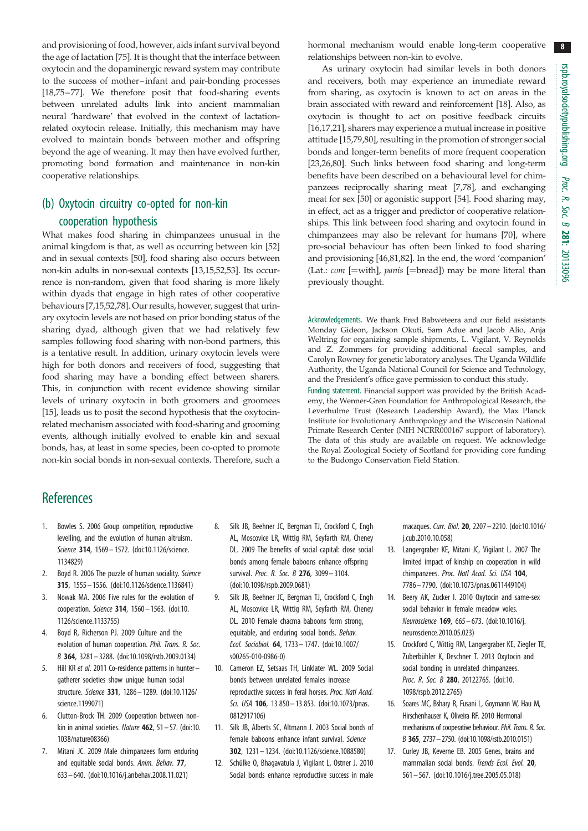8

<span id="page-7-0"></span>and provisioning of food, however, aids infant survival beyond the age of lactation [[75\]](#page-9-0). It is thought that the interface between oxytocin and the dopaminergic reward system may contribute to the success of mother–infant and pair-bonding processes [\[18](#page-8-0)[,75](#page-9-0)–[77\]](#page-9-0). We therefore posit that food-sharing events between unrelated adults link into ancient mammalian neural 'hardware' that evolved in the context of lactationrelated oxytocin release. Initially, this mechanism may have evolved to maintain bonds between mother and offspring beyond the age of weaning. It may then have evolved further, promoting bond formation and maintenance in non-kin cooperative relationships.

# (b) Oxytocin circuitry co-opted for non-kin

## cooperation hypothesis

What makes food sharing in chimpanzees unusual in the animal kingdom is that, as well as occurring between kin [[52\]](#page-8-0) and in sexual contexts [\[50](#page-8-0)], food sharing also occurs between non-kin adults in non-sexual contexts [13,15,[52,53](#page-8-0)]. Its occurrence is non-random, given that food sharing is more likely within dyads that engage in high rates of other cooperative behaviours [7,15[,52](#page-8-0)[,78](#page-9-0)]. Our results, however, suggest that urinary oxytocin levels are not based on prior bonding status of the sharing dyad, although given that we had relatively few samples following food sharing with non-bond partners, this is a tentative result. In addition, urinary oxytocin levels were high for both donors and receivers of food, suggesting that food sharing may have a bonding effect between sharers. This, in conjunction with recent evidence showing similar levels of urinary oxytocin in both groomers and groomees [15], leads us to posit the second hypothesis that the oxytocinrelated mechanism associated with food-sharing and grooming events, although initially evolved to enable kin and sexual bonds, has, at least in some species, been co-opted to promote non-kin social bonds in non-sexual contexts. Therefore, such a

#### hormonal mechanism would enable long-term cooperative relationships between non-kin to evolve.

As urinary oxytocin had similar levels in both donors and receivers, both may experience an immediate reward from sharing, as oxytocin is known to act on areas in the brain associated with reward and reinforcement [\[18](#page-8-0)]. Also, as oxytocin is thought to act on positive feedback circuits [16,17[,21\]](#page-8-0), sharers may experience a mutual increase in positive attitude [15,[79,80\]](#page-9-0), resulting in the promotion of stronger social bonds and longer-term benefits of more frequent cooperation [[23,26,](#page-8-0)[80\]](#page-9-0). Such links between food sharing and long-term benefits have been described on a behavioural level for chimpanzees reciprocally sharing meat [7[,78](#page-9-0)], and exchanging meat for sex [[50\]](#page-8-0) or agonistic support [\[54](#page-8-0)]. Food sharing may, in effect, act as a trigger and predictor of cooperative relationships. This link between food sharing and oxytocin found in chimpanzees may also be relevant for humans [\[70](#page-9-0)], where pro-social behaviour has often been linked to food sharing and provisioning [[46,](#page-8-0)[81,82\]](#page-9-0). In the end, the word 'companion' (Lat.:  $com$  [=with], panis [=bread]) may be more literal than previously thought.

Acknowledgements. We thank Fred Babweteera and our field assistants Monday Gideon, Jackson Okuti, Sam Adue and Jacob Alio, Anja Weltring for organizing sample shipments, L. Vigilant, V. Reynolds and Z. Zommers for providing additional faecal samples, and Carolyn Rowney for genetic laboratory analyses. The Uganda Wildlife Authority, the Uganda National Council for Science and Technology, and the President's office gave permission to conduct this study.

Funding statement. Financial support was provided by the British Academy, the Wenner-Gren Foundation for Anthropological Research, the Leverhulme Trust (Research Leadership Award), the Max Planck Institute for Evolutionary Anthropology and the Wisconsin National Primate Research Center (NIH NCRR000167 support of laboratory). The data of this study are available on request. We acknowledge the Royal Zoological Society of Scotland for providing core funding to the Budongo Conservation Field Station.

## **References**

- 1. Bowles S. 2006 Group competition, reproductive levelling, and the evolution of human altruism. Science 314, 1569– 1572. [\(doi:10.1126/science.](http://dx.doi.org/10.1126/science.1134829) [1134829\)](http://dx.doi.org/10.1126/science.1134829)
- 2. Boyd R. 2006 The puzzle of human sociality. Science 315, 1555– 1556. [\(doi:10.1126/science.1136841](http://dx.doi.org/10.1126/science.1136841))
- 3. Nowak MA. 2006 Five rules for the evolution of cooperation. Science 314, 1560 – 1563. ([doi:10.](http://dx.doi.org/10.1126/science.1133755) [1126/science.1133755\)](http://dx.doi.org/10.1126/science.1133755)
- 4. Boyd R, Richerson PJ. 2009 Culture and the evolution of human cooperation. Phil. Trans. R. Soc. B 364, 3281 – 3288. ([doi:10.1098/rstb.2009.0134](http://dx.doi.org/10.1098/rstb.2009.0134))
- 5. Hill KR et al. 2011 Co-residence patterns in huntergatherer societies show unique human social structure. Science 331, 1286– 1289. ([doi:10.1126/](http://dx.doi.org/10.1126/science.1199071) [science.1199071\)](http://dx.doi.org/10.1126/science.1199071)
- 6. Clutton-Brock TH. 2009 Cooperation between nonkin in animal societies. Nature  $462$ ,  $51 - 57$ . ([doi:10.](http://dx.doi.org/10.1038/nature08366) [1038/nature08366](http://dx.doi.org/10.1038/nature08366))
- 7. Mitani JC. 2009 Male chimpanzees form enduring and equitable social bonds. Anim. Behav. 77, 633– 640. ([doi:10.1016/j.anbehav.2008.11.021](http://dx.doi.org/10.1016/j.anbehav.2008.11.021))
- 8. Silk JB, Beehner JC, Bergman TJ, Crockford C, Engh AL, Moscovice LR, Wittig RM, Seyfarth RM, Cheney DL. 2009 The benefits of social capital: close social bonds among female baboons enhance offspring survival. Proc. R. Soc. B 276, 3099-3104. [\(doi:10.1098/rspb.2009.0681\)](http://dx.doi.org/10.1098/rspb.2009.0681)
- 9. Silk JB, Beehner JC, Bergman TJ, Crockford C, Engh AL, Moscovice LR, Wittig RM, Seyfarth RM, Cheney DL. 2010 Female chacma baboons form strong, equitable, and enduring social bonds. Behav. Ecol. Sociobiol. 64, 1733 – 1747. ([doi:10.1007/](http://dx.doi.org/10.1007/s00265-010-0986-0) [s00265-010-0986-0\)](http://dx.doi.org/10.1007/s00265-010-0986-0)
- 10. Cameron EZ, Setsaas TH, Linklater WL. 2009 Social bonds between unrelated females increase reproductive success in feral horses. Proc. Natl Acad. Sci. USA 106, 13 850 - 13 853. ([doi:10.1073/pnas.](http://dx.doi.org/10.1073/pnas.0812917106) [0812917106\)](http://dx.doi.org/10.1073/pnas.0812917106)
- 11. Silk JB, Alberts SC, Altmann J. 2003 Social bonds of female baboons enhance infant survival. Science 302, 1231 – 1234. [\(doi:10.1126/science.1088580](http://dx.doi.org/10.1126/science.1088580))
- 12. Schülke O, Bhagavatula J, Vigilant L, Ostner J. 2010 Social bonds enhance reproductive success in male

macaques. Curr. Biol. 20, 2207– 2210. [\(doi:10.1016/](http://dx.doi.org/10.1016/j.cub.2010.10.058) [j.cub.2010.10.058](http://dx.doi.org/10.1016/j.cub.2010.10.058))

- 13. Langergraber KE, Mitani JC, Vigilant L. 2007 The limited impact of kinship on cooperation in wild chimpanzees. Proc. Natl Acad. Sci. USA 104, 7786– 7790. ([doi:10.1073/pnas.0611449104\)](http://dx.doi.org/10.1073/pnas.0611449104)
- 14. Beery AK, Zucker I. 2010 Oxytocin and same-sex social behavior in female meadow voles. Neuroscience 169, 665 – 673. ([doi:10.1016/j.](http://dx.doi.org/10.1016/j.neuroscience.2010.05.023) [neuroscience.2010.05.023](http://dx.doi.org/10.1016/j.neuroscience.2010.05.023))
- 15. Crockford C, Wittig RM, Langergraber KE, Ziegler TE, Zuberbühler K, Deschner T. 2013 Oxytocin and social bonding in unrelated chimpanzees. Proc. R. Soc. B 280, 20122765. ([doi:10.](http://dx.doi.org/10.1098/rspb.2012.2765) [1098/rspb.2012.2765\)](http://dx.doi.org/10.1098/rspb.2012.2765)
- 16. Soares MC, Bshary R, Fusani L, Goymann W, Hau M, Hirschenhauser K, Oliveira RF. 2010 Hormonal mechanisms of cooperative behaviour. Phil. Trans. R. Soc. B 365, 2737–2750. [\(doi:10.1098/rstb.2010.0151\)](http://dx.doi.org/10.1098/rstb.2010.0151)
- 17. Curley JB, Keverne EB. 2005 Genes, brains and mammalian social bonds. Trends Ecol. Evol. 20, 561– 567. [\(doi:10.1016/j.tree.2005.05.018](http://dx.doi.org/10.1016/j.tree.2005.05.018))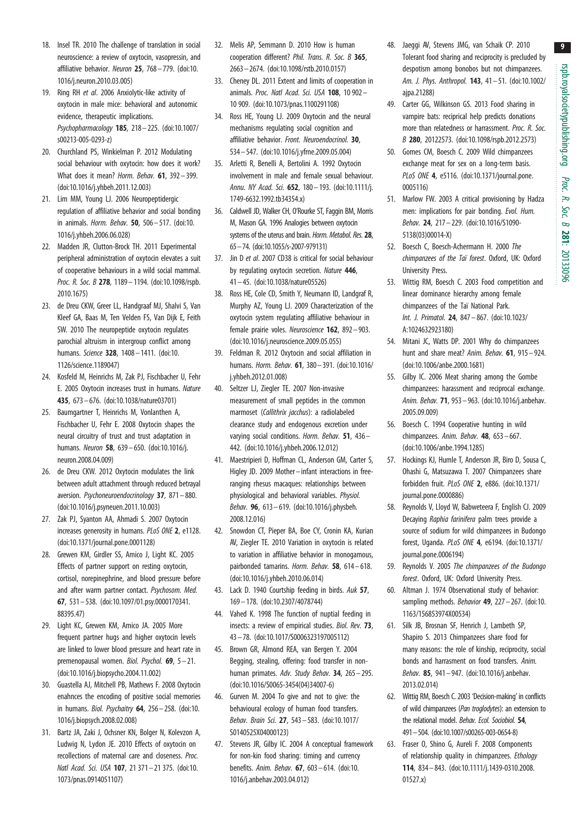9

- <span id="page-8-0"></span>18. Insel TR. 2010 The challenge of translation in social neuroscience: a review of oxytocin, vasopressin, and affiliative behavior. Neuron 25, 768-779. ([doi:10.](http://dx.doi.org/10.1016/j.neuron.2010.03.005) [1016/j.neuron.2010.03.005](http://dx.doi.org/10.1016/j.neuron.2010.03.005))
- 19. Ring RH et al. 2006 Anxiolytic-like activity of oxytocin in male mice: behavioral and autonomic evidence, therapeutic implications. Psychopharmacology 185, 218– 225. ([doi:10.1007/](http://dx.doi.org/10.1007/s00213-005-0293-z) [s00213-005-0293-z](http://dx.doi.org/10.1007/s00213-005-0293-z))
- 20. Churchland PS, Winkielman P. 2012 Modulating social behaviour with oxytocin: how does it work? What does it mean? Horm. Behav. 61, 392-399. [\(doi:10.1016/j.yhbeh.2011.12.003\)](http://dx.doi.org/10.1016/j.yhbeh.2011.12.003)
- 21. Lim MM, Young LJ. 2006 Neuropeptidergic regulation of affiliative behavior and social bonding in animals. Horm. Behav. 50, 506– 517. [\(doi:10.](http://dx.doi.org/10.1016/j.yhbeh.2006.06.028) [1016/j.yhbeh.2006.06.028\)](http://dx.doi.org/10.1016/j.yhbeh.2006.06.028)
- 22. Madden JR, Clutton-Brock TH. 2011 Experimental peripheral administration of oxytocin elevates a suit of cooperative behaviours in a wild social mammal. Proc. R. Soc. B 278, 1189-1194. [\(doi:10.1098/rspb.](http://dx.doi.org/10.1098/rspb.2010.1675) [2010.1675\)](http://dx.doi.org/10.1098/rspb.2010.1675)
- 23. de Dreu CKW, Greer LL, Handgraaf MJ, Shalvi S, Van Kleef GA, Baas M, Ten Velden FS, Van Dijk E, Feith SW. 2010 The neuropeptide oxytocin regulates parochial altruism in intergroup conflict among humans. Science 328, 1408 – 1411. ([doi:10.](http://dx.doi.org/10.1126/science.1189047) [1126/science.1189047\)](http://dx.doi.org/10.1126/science.1189047)
- 24. Kosfeld M, Heinrichs M, Zak PJ, Fischbacher U, Fehr E. 2005 Oxytocin increases trust in humans. Nature 435, 673– 676. [\(doi:10.1038/nature03701](http://dx.doi.org/10.1038/nature03701))
- 25. Baumgartner T, Heinrichs M, Vonlanthen A, Fischbacher U, Fehr E. 2008 Oxytocin shapes the neural circuitry of trust and trust adaptation in humans. Neuron 58, 639 – 650. ([doi:10.1016/j.](http://dx.doi.org/10.1016/j.neuron.2008.04.009) [neuron.2008.04.009\)](http://dx.doi.org/10.1016/j.neuron.2008.04.009)
- 26. de Dreu CKW. 2012 Oxytocin modulates the link between adult attachment through reduced betrayal aversion. Psychoneuroendocrinology 37, 871– 880. [\(doi:10.1016/j.psyneuen.2011.10.003\)](http://dx.doi.org/10.1016/j.psyneuen.2011.10.003)
- 27. Zak PJ, Syanton AA, Ahmadi S. 2007 Oxytocin increases generosity in humans. PLoS ONE 2, e1128. [\(doi:10.1371/journal.pone.0001128\)](http://dx.doi.org/10.1371/journal.pone.0001128)
- 28. Grewen KM, Girdler SS, Amico J, Light KC. 2005 Effects of partner support on resting oxytocin, cortisol, norepinephrine, and blood pressure before and after warm partner contact. Psychosom. Med. 67, 531– 538. ([doi:10.1097/01.psy.0000170341.](http://dx.doi.org/10.1097/01.psy.0000170341.88395.47) [88395.47](http://dx.doi.org/10.1097/01.psy.0000170341.88395.47))
- 29. Light KC, Grewen KM, Amico JA. 2005 More frequent partner hugs and higher oxytocin levels are linked to lower blood pressure and heart rate in premenopausal women. Biol. Psychol. 69, 5– 21. [\(doi:10.1016/j.biopsycho.2004.11.002\)](http://dx.doi.org/10.1016/j.biopsycho.2004.11.002)
- 30. Guastella AJ, Mitchell PB, Mathews F. 2008 Oxytocin enahnces the encoding of positive social memories in humans. *Biol. Psychaitry*  $64$ ,  $256 - 258$ . [\(doi:10.](http://dx.doi.org/10.1016/j.biopsych.2008.02.008) [1016/j.biopsych.2008.02.008\)](http://dx.doi.org/10.1016/j.biopsych.2008.02.008)
- 31. Bartz JA, Zaki J, Ochsner KN, Bolger N, Kolevzon A, Ludwig N, Lydon JE. 2010 Effects of oxytocin on recollections of maternal care and closeness. Proc. Natl Acad. Sci. USA 107, 21 371-21 375. ([doi:10.](http://dx.doi.org/10.1073/pnas.0914051107) [1073/pnas.0914051107](http://dx.doi.org/10.1073/pnas.0914051107))
- 32. Melis AP, Semmann D. 2010 How is human cooperation different? Phil. Trans. R. Soc. B 365, 2663– 2674. [\(doi:10.1098/rstb.2010.0157](http://dx.doi.org/10.1098/rstb.2010.0157))
- 33. Cheney DL. 2011 Extent and limits of cooperation in animals. Proc. Natl Acad. Sci. USA 108, 10 902 -10 909. ([doi:10.1073/pnas.1100291108](http://dx.doi.org/10.1073/pnas.1100291108))
- 34. Ross HE, Young LJ. 2009 Oxytocin and the neural mechanisms regulating social cognition and affiliative behavior. Front. Neuroendocrinol. 30, 534 – 547. [\(doi:10.1016/j.yfrne.2009.05.004\)](http://dx.doi.org/10.1016/j.yfrne.2009.05.004)
- 35. Arletti R, Benelli A, Bertolini A. 1992 Oxytocin involvement in male and female sexual behaviour. Annu. NY Acad. Sci. 652, 180– 193. [\(doi:10.1111/j.](http://dx.doi.org/10.1111/j.1749-6632.1992.tb34354.x) [1749-6632.1992.tb34354.x\)](http://dx.doi.org/10.1111/j.1749-6632.1992.tb34354.x)
- 36. Caldwell JD, Walker CH, O'Rourke ST, Faggin BM, Morris M, Mason GA. 1996 Analogies between oxytocin systems of the uterus and brain. Horm. Metabol. Res. 28, 65–74. [\(doi:10.1055/s-2007-979131](http://dx.doi.org/10.1055/s-2007-979131))
- 37. Jin D et al. 2007 CD38 is critical for social behaviour by regulating oxytocin secretion. Nature 446, 41 – 45. ([doi:10.1038/nature05526\)](http://dx.doi.org/10.1038/nature05526)
- 38. Ross HE, Cole CD, Smith Y, Neumann ID, Landgraf R, Murphy AZ, Young LJ. 2009 Characterization of the oxytocin system regulating affiliative behaviour in female prairie voles. Neuroscience 162, 892-903. [\(doi:10.1016/j.neuroscience.2009.05.055](http://dx.doi.org/10.1016/j.neuroscience.2009.05.055))
- 39. Feldman R. 2012 Oxytocin and social affiliation in humans. Horm. Behav. 61, 380– 391. [\(doi:10.1016/](http://dx.doi.org/10.1016/j.yhbeh.2012.01.008) [j.yhbeh.2012.01.008\)](http://dx.doi.org/10.1016/j.yhbeh.2012.01.008)
- 40. Seltzer LJ, Ziegler TE. 2007 Non-invasive measurement of small peptides in the common marmoset (Callithrix jacchus): a radiolabeled clearance study and endogenous excretion under varying social conditions. Horm. Behav. 51, 436-442. ([doi:10.1016/j.yhbeh.2006.12.012](http://dx.doi.org/10.1016/j.yhbeh.2006.12.012))
- 41. Maestripieri D, Hoffman CL, Anderson GM, Carter S, Higley JD. 2009 Mother– infant interactions in freeranging rhesus macaques: relationships between physiological and behavioral variables. Physiol. Behav. 96, 613 – 619. ([doi:10.1016/j.physbeh.](http://dx.doi.org/10.1016/j.physbeh.2008.12.016) [2008.12.016\)](http://dx.doi.org/10.1016/j.physbeh.2008.12.016)
- 42. Snowdon CT, Pieper BA, Boe CY, Cronin KA, Kurian AV, Ziegler TE. 2010 Variation in oxytocin is related to variation in affiliative behavior in monogamous, pairbonded tamarins. Horm. Behav. 58, 614-618. [\(doi:10.1016/j.yhbeh.2010.06.014](http://dx.doi.org/10.1016/j.yhbeh.2010.06.014))
- 43. Lack D. 1940 Courtship feeding in birds. Auk 57, 169 – 178. [\(doi:10.2307/4078744\)](http://dx.doi.org/10.2307/4078744)
- 44. Vahed K. 1998 The function of nuptial feeding in insects: a review of empirical studies. Biol. Rev. 73, 43 – 78. ([doi:10.1017/S0006323197005112](http://dx.doi.org/10.1017/S0006323197005112))
- 45. Brown GR, Almond REA, van Bergen Y. 2004 Begging, stealing, offering: food transfer in nonhuman primates. Adv. Study Behav. 34, 265– 295. [\(doi:10.1016/S0065-3454\(04\)34007-6](http://dx.doi.org/10.1016/S0065-3454(04)34007-6))
- 46. Gurven M. 2004 To give and not to give: the behavioural ecology of human food transfers. Behav. Brain Sci. 27, 543– 583. [\(doi:10.1017/](http://dx.doi.org/10.1017/S0140525X04000123) [S0140525X04000123](http://dx.doi.org/10.1017/S0140525X04000123))
- 47. Stevens JR, Gilby IC. 2004 A conceptual framework for non-kin food sharing: timing and currency benefits. Anim. Behav. 67, 603 – 614. ([doi:10.](http://dx.doi.org/10.1016/j.anbehav.2003.04.012) [1016/j.anbehav.2003.04.012\)](http://dx.doi.org/10.1016/j.anbehav.2003.04.012)
- 48. Jaeggi AV, Stevens JMG, van Schaik CP. 2010 Tolerant food sharing and reciprocity is precluded by despotism among bonobos but not chimpanzees. Am. J. Phys. Anthropol. 143, 41– 51. [\(doi:10.1002/](http://dx.doi.org/10.1002/ajpa.21288) [ajpa.21288\)](http://dx.doi.org/10.1002/ajpa.21288)
- 49. Carter GG, Wilkinson GS. 2013 Food sharing in vampire bats: reciprical help predicts donations more than relatedness or harrassment. Proc. R. Soc. B 280, 20122573. [\(doi:10.1098/rspb.2012.2573\)](http://dx.doi.org/10.1098/rspb.2012.2573)
- 50. Gomes CM, Boesch C. 2009 Wild chimpanzees exchange meat for sex on a long-term basis. PLoS ONE 4, e5116. [\(doi:10.1371/journal.pone.](http://dx.doi.org/10.1371/journal.pone.0005116) [0005116](http://dx.doi.org/10.1371/journal.pone.0005116))
- 51. Marlow FW. 2003 A critical provisioning by Hadza men: implications for pair bonding. Evol. Hum. Behav. 24, 217– 229. [\(doi:10.1016/S1090-](http://dx.doi.org/10.1016/S1090-5138(03)00014-X) [5138\(03\)00014-X](http://dx.doi.org/10.1016/S1090-5138(03)00014-X))
- 52. Boesch C, Boesch-Achermann H. 2000 The chimpanzees of the Taï forest. Oxford, UK: Oxford University Press.
- 53. Wittig RM, Boesch C. 2003 Food competition and linear dominance hierarchy among female chimpanzees of the Taï National Park. Int. J. Primatol. 24, 847 – 867. ([doi:10.1023/](http://dx.doi.org/10.1023/A:1024632923180) [A:1024632923180](http://dx.doi.org/10.1023/A:1024632923180))
- 54. Mitani JC, Watts DP. 2001 Why do chimpanzees hunt and share meat? Anim. Behav. 61, 915 – 924. ([doi:10.1006/anbe.2000.1681](http://dx.doi.org/10.1006/anbe.2000.1681))
- 55. Gilby IC. 2006 Meat sharing among the Gombe chimpanzees: harassment and reciprocal exchange. Anim. Behav. 71, 953 – 963. ([doi:10.1016/j.anbehav.](http://dx.doi.org/10.1016/j.anbehav.2005.09.009) [2005.09.009](http://dx.doi.org/10.1016/j.anbehav.2005.09.009))
- 56. Boesch C. 1994 Cooperative hunting in wild chimpanzees. Anim. Behav.  $48$ ,  $653-667$ . ([doi:10.1006/anbe.1994.1285](http://dx.doi.org/10.1006/anbe.1994.1285))
- 57. Hockings KJ, Humle T, Anderson JR, Biro D, Sousa C, Ohashi G, Matsuzawa T. 2007 Chimpanzees share forbidden fruit. PLoS ONE 2, e886. ([doi:10.1371/](http://dx.doi.org/10.1371/journal.pone.0000886) [journal.pone.0000886\)](http://dx.doi.org/10.1371/journal.pone.0000886)
- 58. Reynolds V, Lloyd W, Babweteera F, English CJ. 2009 Decaying Raphia farinifera palm trees provide a source of sodium for wild chimpanzees in Budongo forest, Uganda. PLoS ONE 4, e6194. ([doi:10.1371/](http://dx.doi.org/10.1371/journal.pone.0006194) [journal.pone.0006194\)](http://dx.doi.org/10.1371/journal.pone.0006194)
- 59. Reynolds V. 2005 The chimpanzees of the Budongo forest. Oxford, UK: Oxford University Press.
- 60. Altman J. 1974 Observational study of behavior: sampling methods. Behavior 49, 227 - 267. [\(doi:10.](http://dx.doi.org/10.1163/156853974X00534) [1163/156853974X00534](http://dx.doi.org/10.1163/156853974X00534))
- 61. Silk JB, Brosnan SF, Henrich J, Lambeth SP, Shapiro S. 2013 Chimpanzees share food for many reasons: the role of kinship, reciprocity, social bonds and harrasment on food transfers. Anim. Behav. 85, 941– 947. [\(doi:10.1016/j.anbehav.](http://dx.doi.org/10.1016/j.anbehav.2013.02.014) [2013.02.014](http://dx.doi.org/10.1016/j.anbehav.2013.02.014))
- 62. Wittig RM, Boesch C. 2003 'Decision-making' in conflicts of wild chimpanzees (Pan troglodytes): an extension to the relational model. Behav. Ecol. Sociobiol. 54, 491–504. [\(doi:10.1007/s00265-003-0654-8](http://dx.doi.org/10.1007/s00265-003-0654-8))
- 63. Fraser O, Shino G, Aureli F. 2008 Components of relationship quality in chimpanzees. Ethology 114, 834– 843. [\(doi:10.1111/j.1439-0310.2008.](http://dx.doi.org/10.1111/j.1439-0310.2008.01527.x) [01527.x](http://dx.doi.org/10.1111/j.1439-0310.2008.01527.x))